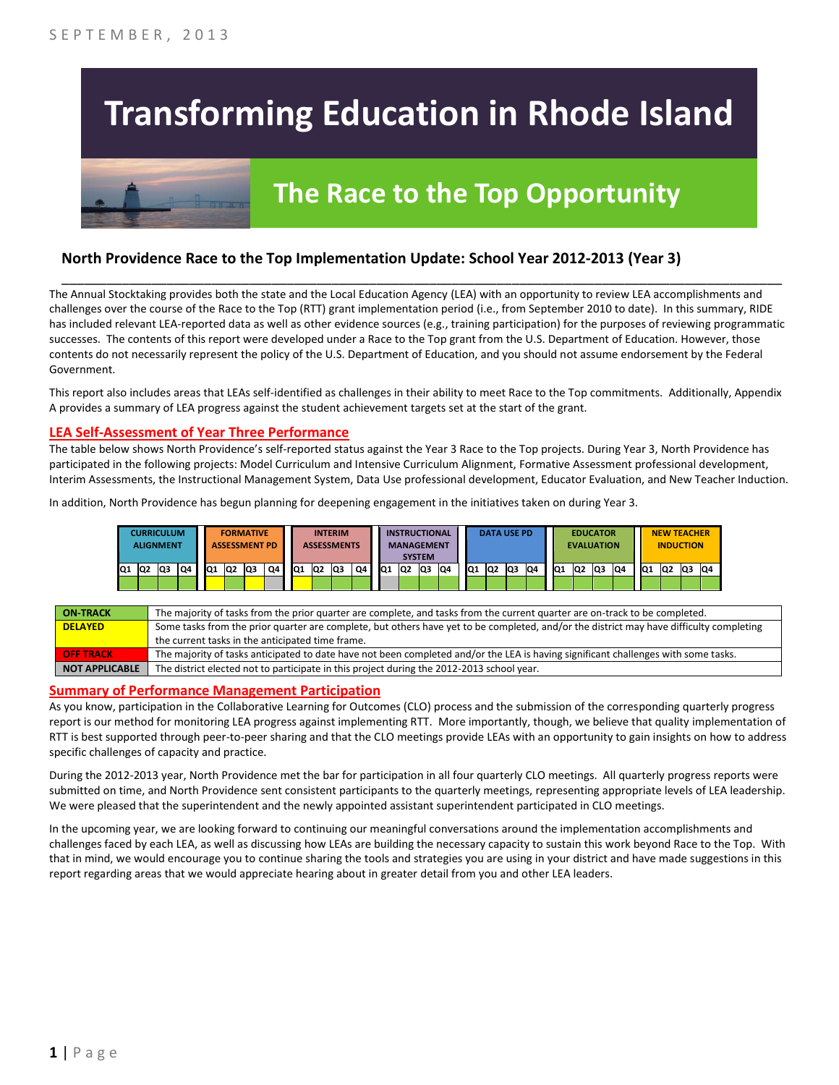# **Transforming Education in Rhode Island**



# **The Race to the Top Opportunity**

### **North Providence Race to the Top Implementation Update: School Year 2012-2013 (Year 3)**

The Annual Stocktaking provides both the state and the Local Education Agency (LEA) with an opportunity to review LEA accomplishments and challenges over the course of the Race to the Top (RTT) grant implementation period (i.e., from September 2010 to date). In this summary, RIDE has included relevant LEA-reported data as well as other evidence sources (e.g., training participation) for the purposes of reviewing programmatic successes. The contents of this report were developed under a Race to the Top grant from the U.S. Department of Education. However, those contents do not necessarily represent the policy of the U.S. Department of Education, and you should not assume endorsement by the Federal Government.

\_\_\_\_\_\_\_\_\_\_\_\_\_\_\_\_\_\_\_\_\_\_\_\_\_\_\_\_\_\_\_\_\_\_\_\_\_\_\_\_\_\_\_\_\_\_\_\_\_\_\_\_\_\_\_\_\_\_\_\_\_\_\_\_\_\_\_\_\_\_\_\_\_\_\_\_\_\_\_\_\_\_\_\_\_\_\_\_\_\_\_\_\_\_\_\_

This report also includes areas that LEAs self-identified as challenges in their ability to meet Race to the Top commitments. Additionally, Appendix A provides a summary of LEA progress against the student achievement targets set at the start of the grant.

#### **LEA Self-Assessment of Year Three Performance**

The table below shows North Providence's self-reported status against the Year 3 Race to the Top projects. During Year 3, North Providence has participated in the following projects: Model Curriculum and Intensive Curriculum Alignment, Formative Assessment professional development, Interim Assessments, the Instructional Management System, Data Use professional development, Educator Evaluation, and New Teacher Induction.

In addition, North Providence has begun planning for deepening engagement in the initiatives taken on during Year 3.

|     |    | CURRICULUM<br><b>ALIGNMENT</b> |    |    |                 | <b>FORMATIVE</b><br><b>ASSESSMENT PD</b> |    |                 |    | <b>INTERIM</b><br><b>ASSESSMENTS</b> |    |                 |    | <b>INSTRUCTIONAL</b><br><b>MANAGEMENT</b><br><b>SYSTEM</b> |     |                 |                | <b>DATA USE PD</b> |    |     | <b>EDUCATOR</b><br><b>EVALUATION</b> |     |    |     |    | <b>NEW TEACHER</b><br><b>INDUCTION</b> |    |
|-----|----|--------------------------------|----|----|-----------------|------------------------------------------|----|-----------------|----|--------------------------------------|----|-----------------|----|------------------------------------------------------------|-----|-----------------|----------------|--------------------|----|-----|--------------------------------------|-----|----|-----|----|----------------------------------------|----|
| IQ1 | Q2 | Q3                             | Q4 | Q1 | lQ <sub>2</sub> | <b>Q3</b>                                | Q4 | IQ <sub>1</sub> | Q2 | lQ3                                  | Q4 | IQ <sub>1</sub> | Q2 | lQ3                                                        | IQ4 | IQ <sub>1</sub> | Q <sub>2</sub> | Q3                 | Q4 | IQ1 | Q <sub>2</sub>                       | lQ3 | Q4 | IQ1 | Q2 | lQ3                                    | Q4 |
|     |    |                                |    |    |                 |                                          |    |                 |    |                                      |    |                 |    |                                                            |     |                 |                |                    |    |     |                                      |     |    |     |    |                                        |    |

| <b>ON TRACK</b>       | The majority of tasks from the prior quarter are complete, and tasks from the current quarter are on-track to be completed.             |
|-----------------------|-----------------------------------------------------------------------------------------------------------------------------------------|
| <b>DELAYED</b>        | Some tasks from the prior quarter are complete, but others have yet to be completed, and/or the district may have difficulty completing |
|                       | the current tasks in the anticipated time frame.                                                                                        |
| <b>OFF TRACK</b>      | The majority of tasks anticipated to date have not been completed and/or the LEA is having significant challenges with some tasks.      |
| <b>NOT APPLICABLE</b> | The district elected not to participate in this project during the 2012-2013 school year.                                               |

#### **Summary of Performance Management Participation**

As you know, participation in the Collaborative Learning for Outcomes (CLO) process and the submission of the corresponding quarterly progress report is our method for monitoring LEA progress against implementing RTT. More importantly, though, we believe that quality implementation of RTT is best supported through peer-to-peer sharing and that the CLO meetings provide LEAs with an opportunity to gain insights on how to address specific challenges of capacity and practice.

During the 2012-2013 year, North Providence met the bar for participation in all four quarterly CLO meetings. All quarterly progress reports were submitted on time, and North Providence sent consistent participants to the quarterly meetings, representing appropriate levels of LEA leadership. We were pleased that the superintendent and the newly appointed assistant superintendent participated in CLO meetings.

In the upcoming year, we are looking forward to continuing our meaningful conversations around the implementation accomplishments and challenges faced by each LEA, as well as discussing how LEAs are building the necessary capacity to sustain this work beyond Race to the Top. With that in mind, we would encourage you to continue sharing the tools and strategies you are using in your district and have made suggestions in this report regarding areas that we would appreciate hearing about in greater detail from you and other LEA leaders.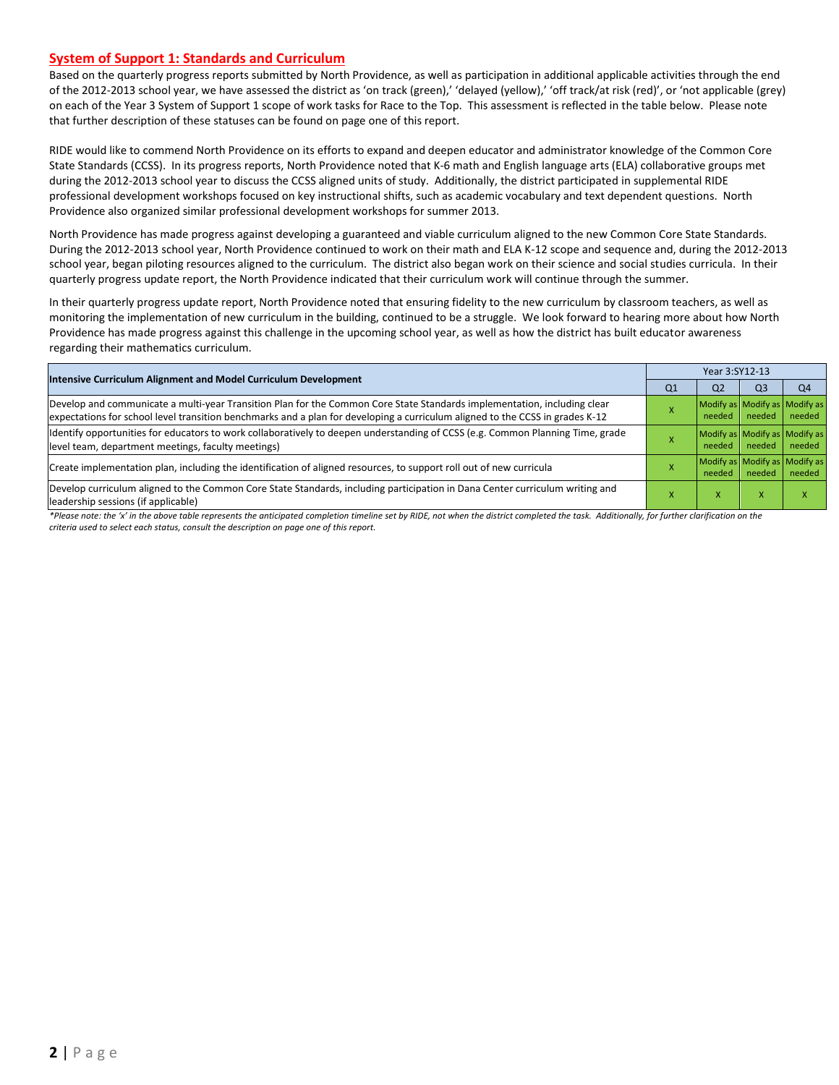#### **System of Support 1: Standards and Curriculum**

Based on the quarterly progress reports submitted by North Providence, as well as participation in additional applicable activities through the end of the 2012-2013 school year, we have assessed the district as 'on track (green),' 'delayed (yellow),' 'off track/at risk (red)', or 'not applicable (grey) on each of the Year 3 System of Support 1 scope of work tasks for Race to the Top. This assessment is reflected in the table below. Please note that further description of these statuses can be found on page one of this report.

RIDE would like to commend North Providence on its efforts to expand and deepen educator and administrator knowledge of the Common Core State Standards (CCSS). In its progress reports, North Providence noted that K-6 math and English language arts (ELA) collaborative groups met during the 2012-2013 school year to discuss the CCSS aligned units of study. Additionally, the district participated in supplemental RIDE professional development workshops focused on key instructional shifts, such as academic vocabulary and text dependent questions. North Providence also organized similar professional development workshops for summer 2013.

North Providence has made progress against developing a guaranteed and viable curriculum aligned to the new Common Core State Standards. During the 2012-2013 school year, North Providence continued to work on their math and ELA K-12 scope and sequence and, during the 2012-2013 school year, began piloting resources aligned to the curriculum. The district also began work on their science and social studies curricula. In their quarterly progress update report, the North Providence indicated that their curriculum work will continue through the summer.

In their quarterly progress update report, North Providence noted that ensuring fidelity to the new curriculum by classroom teachers, as well as monitoring the implementation of new curriculum in the building, continued to be a struggle. We look forward to hearing more about how North Providence has made progress against this challenge in the upcoming school year, as well as how the district has built educator awareness regarding their mathematics curriculum.

| Intensive Curriculum Alignment and Model Curriculum Development                                                                                                                                                                                           | Year 3:SY12-13 |                                         |                |                                         |  |  |  |
|-----------------------------------------------------------------------------------------------------------------------------------------------------------------------------------------------------------------------------------------------------------|----------------|-----------------------------------------|----------------|-----------------------------------------|--|--|--|
|                                                                                                                                                                                                                                                           | Q <sub>1</sub> | Q <sub>2</sub>                          | Q <sub>3</sub> | Q <sub>4</sub>                          |  |  |  |
| Develop and communicate a multi-year Transition Plan for the Common Core State Standards implementation, including clear<br>expectations for school level transition benchmarks and a plan for developing a curriculum aligned to the CCSS in grades K-12 |                | Modify as Modify as Modify as<br>needed | needed         | needed                                  |  |  |  |
| Identify opportunities for educators to work collaboratively to deepen understanding of CCSS (e.g. Common Planning Time, grade<br>level team, department meetings, faculty meetings)                                                                      |                | Modify as Modify as Modify as<br>needed | needed         | needed                                  |  |  |  |
| Create implementation plan, including the identification of aligned resources, to support roll out of new curricula                                                                                                                                       |                | needed                                  | needed         | Modify as Modify as Modify as<br>needed |  |  |  |
| Develop curriculum aligned to the Common Core State Standards, including participation in Dana Center curriculum writing and<br>leadership sessions (if applicable)                                                                                       |                | x                                       | X              |                                         |  |  |  |
| *Please note: the 'x' in the above table represents the anticipated completion timeline set by RIDE, not when the district completed the task. Additionally, for further clarification on the                                                             |                |                                         |                |                                         |  |  |  |

*\*Please note: the 'x' in the above table represents the anticipated completion timeline set by RIDE, not when the district completed the task. Additionally, for further clarification on the criteria used to select each status, consult the description on page one of this report.*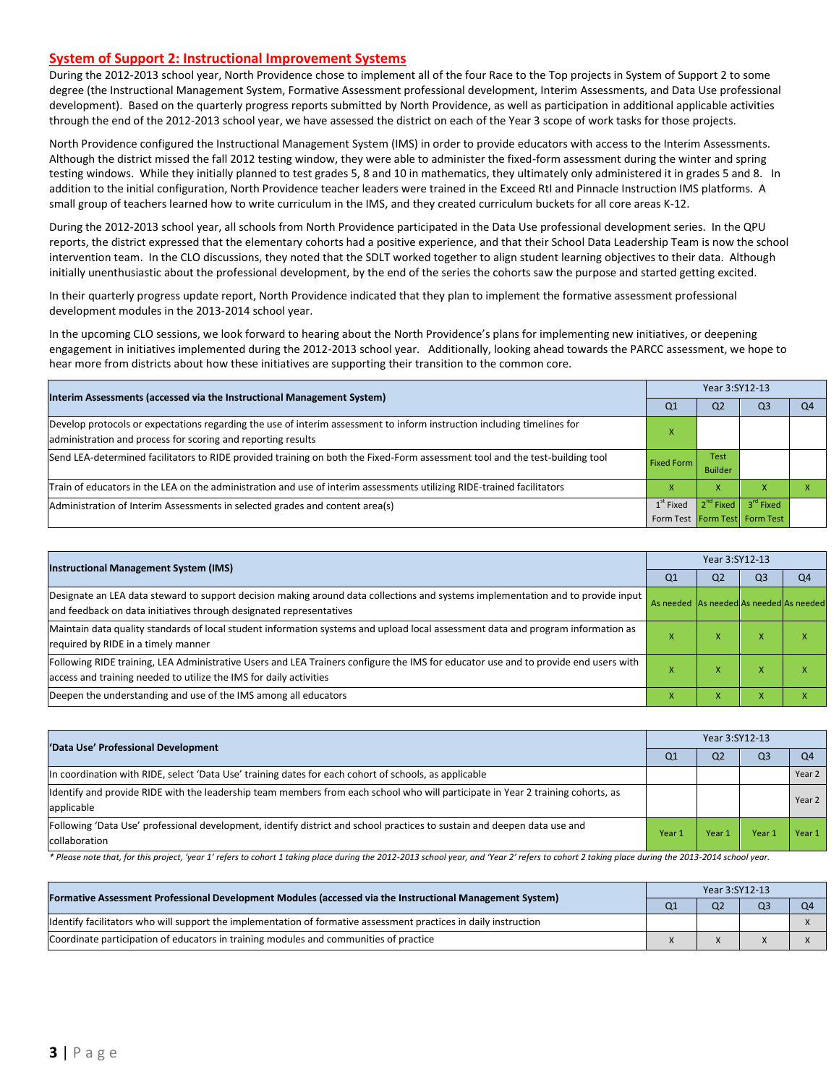#### **System of Support 2: Instructional Improvement Systems**

During the 2012-2013 school year, North Providence chose to implement all of the four Race to the Top projects in System of Support 2 to some degree (the Instructional Management System, Formative Assessment professional development, Interim Assessments, and Data Use professional development). Based on the quarterly progress reports submitted by North Providence, as well as participation in additional applicable activities through the end of the 2012-2013 school year, we have assessed the district on each of the Year 3 scope of work tasks for those projects.

North Providence configured the Instructional Management System (IMS) in order to provide educators with access to the Interim Assessments. Although the district missed the fall 2012 testing window, they were able to administer the fixed-form assessment during the winter and spring testing windows. While they initially planned to test grades 5, 8 and 10 in mathematics, they ultimately only administered it in grades 5 and 8. In addition to the initial configuration, North Providence teacher leaders were trained in the Exceed RtI and Pinnacle Instruction IMS platforms. A small group of teachers learned how to write curriculum in the IMS, and they created curriculum buckets for all core areas K-12.

During the 2012-2013 school year, all schools from North Providence participated in the Data Use professional development series. In the QPU reports, the district expressed that the elementary cohorts had a positive experience, and that their School Data Leadership Team is now the school intervention team. In the CLO discussions, they noted that the SDLT worked together to align student learning objectives to their data. Although initially unenthusiastic about the professional development, by the end of the series the cohorts saw the purpose and started getting excited.

In their quarterly progress update report, North Providence indicated that they plan to implement the formative assessment professional development modules in the 2013-2014 school year.

In the upcoming CLO sessions, we look forward to hearing about the North Providence's plans for implementing new initiatives, or deepening engagement in initiatives implemented during the 2012-2013 school year. Additionally, looking ahead towards the PARCC assessment, we hope to hear more from districts about how these initiatives are supporting their transition to the common core.

| Interim Assessments (accessed via the Instructional Management System)                                                                                                                  | Year 3:SY12-13 |                               |                                                        |                |  |  |
|-----------------------------------------------------------------------------------------------------------------------------------------------------------------------------------------|----------------|-------------------------------|--------------------------------------------------------|----------------|--|--|
|                                                                                                                                                                                         | Q <sub>1</sub> | Q <sub>2</sub>                | Q3                                                     | Q <sub>4</sub> |  |  |
| Develop protocols or expectations regarding the use of interim assessment to inform instruction including timelines for<br>administration and process for scoring and reporting results |                |                               |                                                        |                |  |  |
| Send LEA-determined facilitators to RIDE provided training on both the Fixed-Form assessment tool and the test-building tool                                                            | Fixed Form     | <b>Test</b><br><b>Builder</b> |                                                        |                |  |  |
| Train of educators in the LEA on the administration and use of interim assessments utilizing RIDE-trained facilitators                                                                  |                | x                             |                                                        |                |  |  |
| Administration of Interim Assessments in selected grades and content area(s)                                                                                                            | $1st$ Fixed    | $2^{nd}$ Fixed                | 3 <sup>rd</sup> Fixed<br>Form Test Form Test Form Test |                |  |  |

| <b>Instructional Management System (IMS)</b>                                                                                                                                                              |                                         |                | Year 3:SY12-13 |                |  |  |  |  |
|-----------------------------------------------------------------------------------------------------------------------------------------------------------------------------------------------------------|-----------------------------------------|----------------|----------------|----------------|--|--|--|--|
|                                                                                                                                                                                                           | Q <sub>1</sub>                          | Q <sub>2</sub> | Q <sub>3</sub> | Q <sub>4</sub> |  |  |  |  |
| Designate an LEA data steward to support decision making around data collections and systems implementation and to provide input<br>and feedback on data initiatives through designated representatives   | As needed As needed As needed As needed |                |                |                |  |  |  |  |
| Maintain data quality standards of local student information systems and upload local assessment data and program information as<br>required by RIDE in a timely manner                                   |                                         | ^              | ж              | x              |  |  |  |  |
| Following RIDE training, LEA Administrative Users and LEA Trainers configure the IMS for educator use and to provide end users with<br>access and training needed to utilize the IMS for daily activities |                                         | ^              | ж              | x              |  |  |  |  |
| Deepen the understanding and use of the IMS among all educators                                                                                                                                           |                                         | x              | ж              |                |  |  |  |  |

| 'Data Use' Professional Development                                                                                             | Year 3:SY12-13 |                |        |                |  |  |
|---------------------------------------------------------------------------------------------------------------------------------|----------------|----------------|--------|----------------|--|--|
|                                                                                                                                 | Q1             | Q <sub>2</sub> | Q3     | O <sub>4</sub> |  |  |
| In coordination with RIDE, select 'Data Use' training dates for each cohort of schools, as applicable                           |                |                |        | Year 2         |  |  |
| Identify and provide RIDE with the leadership team members from each school who will participate in Year 2 training cohorts, as |                |                |        | Year 2         |  |  |
| applicable                                                                                                                      |                |                |        |                |  |  |
| Following 'Data Use' professional development, identify district and school practices to sustain and deepen data use and        | Year 1         | Year 1         | Year 1 | Year 1         |  |  |
| collaboration                                                                                                                   |                |                |        |                |  |  |

\* Please note that, for this project, 'year 1' refers to cohort 1 taking place during the 2012-2013 school year, and 'Year 2' refers to cohort 2 taking place during the 2013-2014 school year.

|                                                                                                                  | Year 3:SY12-13 |                |                |  |  |  |
|------------------------------------------------------------------------------------------------------------------|----------------|----------------|----------------|--|--|--|
| [Formative Assessment Professional Development Modules (accessed via the Instructional Management System)        |                | Q <sub>2</sub> | Q <sub>3</sub> |  |  |  |
| Identify facilitators who will support the implementation of formative assessment practices in daily instruction |                |                |                |  |  |  |
| Coordinate participation of educators in training modules and communities of practice                            |                |                |                |  |  |  |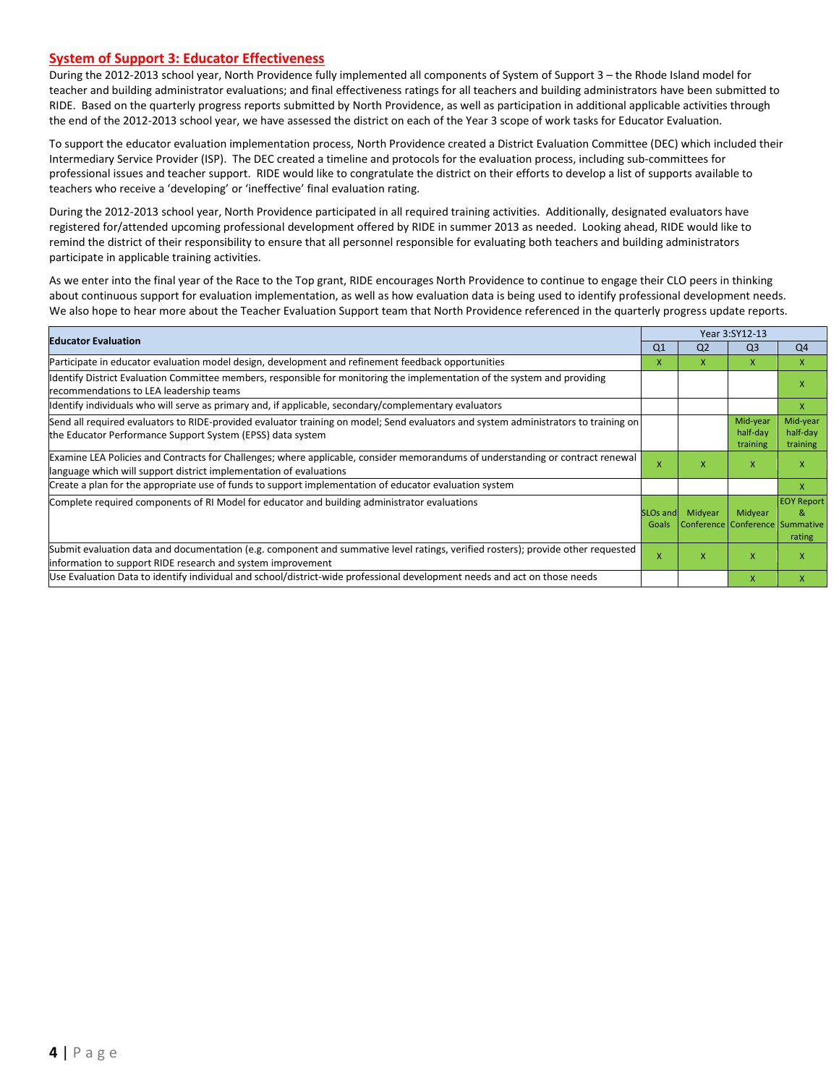#### **System of Support 3: Educator Effectiveness**

During the 2012-2013 school year, North Providence fully implemented all components of System of Support 3 – the Rhode Island model for teacher and building administrator evaluations; and final effectiveness ratings for all teachers and building administrators have been submitted to RIDE. Based on the quarterly progress reports submitted by North Providence, as well as participation in additional applicable activities through the end of the 2012-2013 school year, we have assessed the district on each of the Year 3 scope of work tasks for Educator Evaluation.

To support the educator evaluation implementation process, North Providence created a District Evaluation Committee (DEC) which included their Intermediary Service Provider (ISP). The DEC created a timeline and protocols for the evaluation process, including sub-committees for professional issues and teacher support. RIDE would like to congratulate the district on their efforts to develop a list of supports available to teachers who receive a 'developing' or 'ineffective' final evaluation rating.

During the 2012-2013 school year, North Providence participated in all required training activities. Additionally, designated evaluators have registered for/attended upcoming professional development offered by RIDE in summer 2013 as needed. Looking ahead, RIDE would like to remind the district of their responsibility to ensure that all personnel responsible for evaluating both teachers and building administrators participate in applicable training activities.

As we enter into the final year of the Race to the Top grant, RIDE encourages North Providence to continue to engage their CLO peers in thinking about continuous support for evaluation implementation, as well as how evaluation data is being used to identify professional development needs. We also hope to hear more about the Teacher Evaluation Support team that North Providence referenced in the quarterly progress update reports.

| <b>Educator Evaluation</b>                                                                                                                                                                           |                          | Year 3:SY12-13 |                                            |                                  |
|------------------------------------------------------------------------------------------------------------------------------------------------------------------------------------------------------|--------------------------|----------------|--------------------------------------------|----------------------------------|
|                                                                                                                                                                                                      | Q <sub>1</sub>           | Q <sub>2</sub> | Q <sub>3</sub>                             | Q <sub>4</sub>                   |
| Participate in educator evaluation model design, development and refinement feedback opportunities                                                                                                   | x                        | x              | X                                          | X                                |
| Identify District Evaluation Committee members, responsible for monitoring the implementation of the system and providing<br>recommendations to LEA leadership teams                                 |                          |                |                                            | x                                |
| lldentify individuals who will serve as primary and, if applicable, secondary/complementary evaluators                                                                                               |                          |                |                                            | X                                |
| Send all required evaluators to RIDE-provided evaluator training on model; Send evaluators and system administrators to training on<br>the Educator Performance Support System (EPSS) data system    |                          |                | Mid-year<br>half-day<br>training           | Mid-year<br>half-day<br>training |
| Examine LEA Policies and Contracts for Challenges; where applicable, consider memorandums of understanding or contract renewal<br>language which will support district implementation of evaluations | X                        | x              | X                                          | X                                |
| Create a plan for the appropriate use of funds to support implementation of educator evaluation system                                                                                               |                          |                |                                            | X                                |
| Complete required components of RI Model for educator and building administrator evaluations                                                                                                         | <b>SLOs and</b><br>Goals | Midyear        | Midyear<br>Conference Conference Summative | <b>EOY Report</b><br>&<br>rating |
| Submit evaluation data and documentation (e.g. component and summative level ratings, verified rosters); provide other requested<br>information to support RIDE research and system improvement      | x                        | x              | X                                          | x                                |
| Use Evaluation Data to identify individual and school/district-wide professional development needs and act on those needs                                                                            |                          |                | $\mathsf{x}$                               | x                                |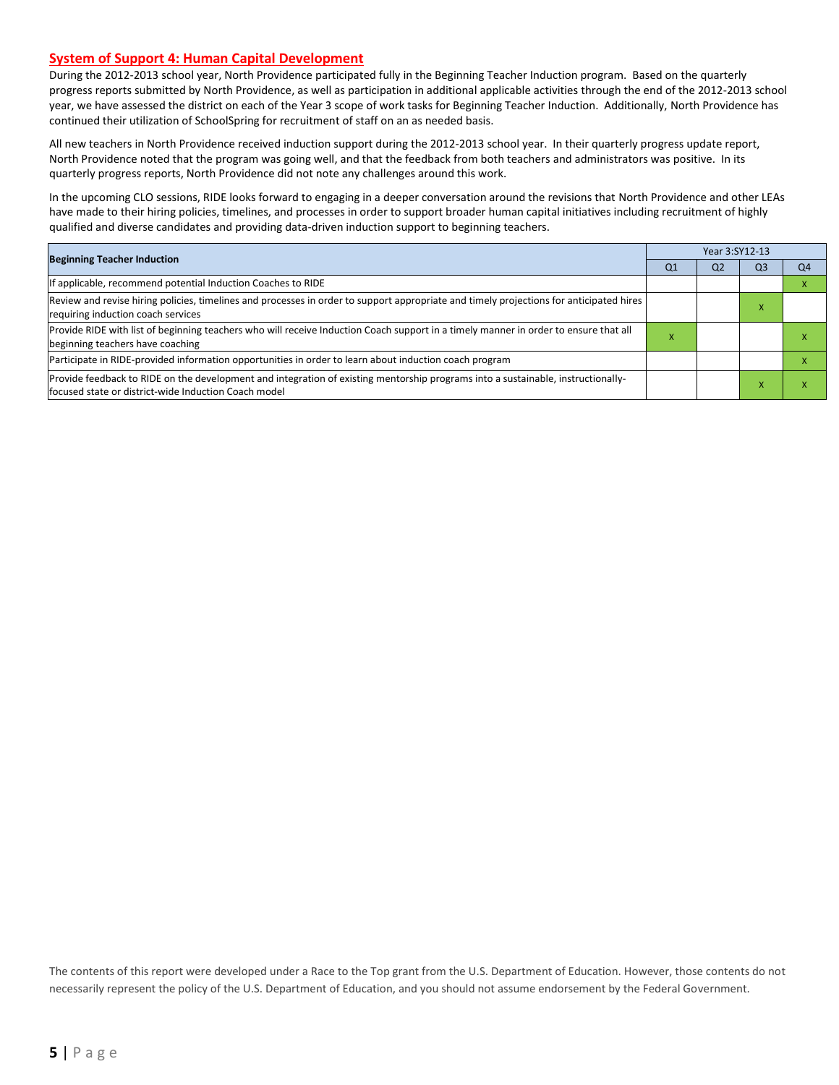#### **System of Support 4: Human Capital Development**

During the 2012-2013 school year, North Providence participated fully in the Beginning Teacher Induction program. Based on the quarterly progress reports submitted by North Providence, as well as participation in additional applicable activities through the end of the 2012-2013 school year, we have assessed the district on each of the Year 3 scope of work tasks for Beginning Teacher Induction. Additionally, North Providence has continued their utilization of SchoolSpring for recruitment of staff on an as needed basis.

All new teachers in North Providence received induction support during the 2012-2013 school year. In their quarterly progress update report, North Providence noted that the program was going well, and that the feedback from both teachers and administrators was positive. In its quarterly progress reports, North Providence did not note any challenges around this work.

In the upcoming CLO sessions, RIDE looks forward to engaging in a deeper conversation around the revisions that North Providence and other LEAs have made to their hiring policies, timelines, and processes in order to support broader human capital initiatives including recruitment of highly qualified and diverse candidates and providing data-driven induction support to beginning teachers.

| <b>Beginning Teacher Induction</b>                                                                                                                                                       |    |                | Year 3:SY12-13 |    |  |
|------------------------------------------------------------------------------------------------------------------------------------------------------------------------------------------|----|----------------|----------------|----|--|
|                                                                                                                                                                                          | Q1 | Q <sub>2</sub> | Q <sub>3</sub> | Q4 |  |
| If applicable, recommend potential Induction Coaches to RIDE                                                                                                                             |    |                |                |    |  |
| Review and revise hiring policies, timelines and processes in order to support appropriate and timely projections for anticipated hires<br>requiring induction coach services            |    |                |                |    |  |
| Provide RIDE with list of beginning teachers who will receive Induction Coach support in a timely manner in order to ensure that all<br>beginning teachers have coaching                 |    |                |                |    |  |
| Participate in RIDE-provided information opportunities in order to learn about induction coach program                                                                                   |    |                |                |    |  |
| Provide feedback to RIDE on the development and integration of existing mentorship programs into a sustainable, instructionally-<br>focused state or district-wide Induction Coach model |    |                |                |    |  |

The contents of this report were developed under a Race to the Top grant from the U.S. Department of Education. However, those contents do not necessarily represent the policy of the U.S. Department of Education, and you should not assume endorsement by the Federal Government.